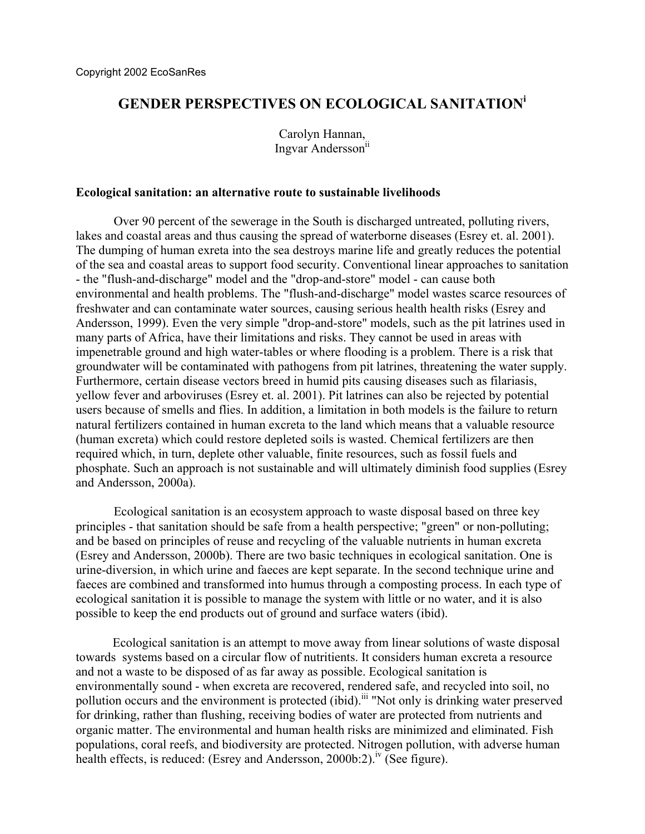# **GENDER PERSPECTIVES ON ECOLOGICAL SANITATION[i](#page-6-0)**

Carolyn Hannan, Ingvar Andersson<sup>[ii](#page-6-1)</sup>

## **Ecological sanitation: an alternative route to sustainable livelihoods**

Over 90 percent of the sewerage in the South is discharged untreated, polluting rivers, lakes and coastal areas and thus causing the spread of waterborne diseases (Esrey et. al. 2001). The dumping of human exreta into the sea destroys marine life and greatly reduces the potential of the sea and coastal areas to support food security. Conventional linear approaches to sanitation - the "flush-and-discharge" model and the "drop-and-store" model - can cause both environmental and health problems. The "flush-and-discharge" model wastes scarce resources of freshwater and can contaminate water sources, causing serious health health risks (Esrey and Andersson, 1999). Even the very simple "drop-and-store" models, such as the pit latrines used in many parts of Africa, have their limitations and risks. They cannot be used in areas with impenetrable ground and high water-tables or where flooding is a problem. There is a risk that groundwater will be contaminated with pathogens from pit latrines, threatening the water supply. Furthermore, certain disease vectors breed in humid pits causing diseases such as filariasis, yellow fever and arboviruses (Esrey et. al. 2001). Pit latrines can also be rejected by potential users because of smells and flies. In addition, a limitation in both models is the failure to return natural fertilizers contained in human excreta to the land which means that a valuable resource (human excreta) which could restore depleted soils is wasted. Chemical fertilizers are then required which, in turn, deplete other valuable, finite resources, such as fossil fuels and phosphate. Such an approach is not sustainable and will ultimately diminish food supplies (Esrey and Andersson, 2000a).

Ecological sanitation is an ecosystem approach to waste disposal based on three key principles - that sanitation should be safe from a health perspective; "green" or non-polluting; and be based on principles of reuse and recycling of the valuable nutrients in human excreta (Esrey and Andersson, 2000b). There are two basic techniques in ecological sanitation. One is urine-diversion, in which urine and faeces are kept separate. In the second technique urine and faeces are combined and transformed into humus through a composting process. In each type of ecological sanitation it is possible to manage the system with little or no water, and it is also possible to keep the end products out of ground and surface waters (ibid).

Ecological sanitation is an attempt to move away from linear solutions of waste disposal towards systems based on a circular flow of nutritients. It considers human excreta a resource and not a waste to be disposed of as far away as possible. Ecological sanitation is environmentally sound - when excreta are recovered, rendered safe, and recycled into soil, no pollution occurs and the environment is protected (ibid).<sup>iii</sup> "Not only is drinking water preserved for drinking, rather than flushing, receiving bodies of water are protected from nutrients and organic matter. The environmental and human health risks are minimized and eliminated. Fish populations, coral reefs, and biodiversity are protected. Nitrogen pollution, with adverse human health effects, is reduced: (Esrey and Andersson, 2000b:2).<sup>iv</sup> (See figure).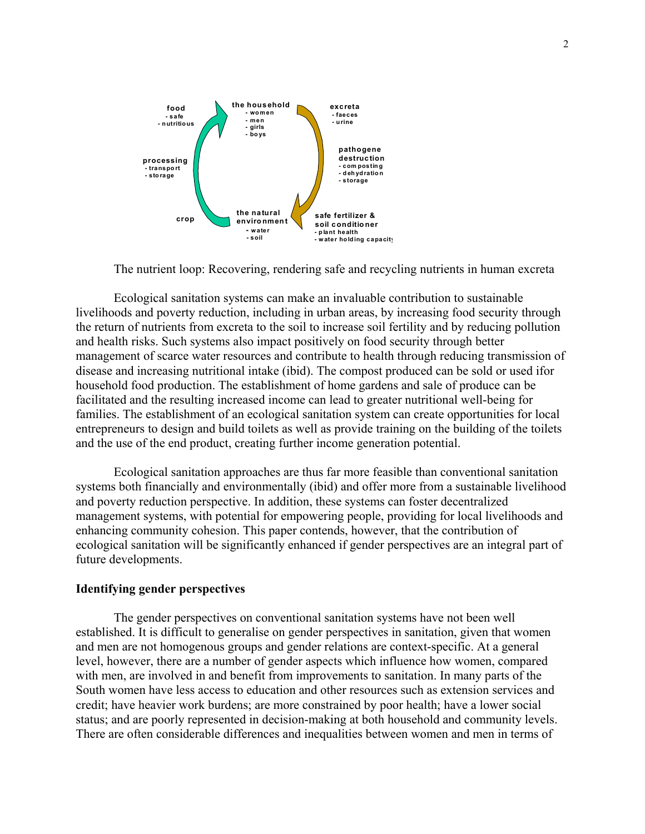

The nutrient loop: Recovering, rendering safe and recycling nutrients in human excreta

Ecological sanitation systems can make an invaluable contribution to sustainable livelihoods and poverty reduction, including in urban areas, by increasing food security through the return of nutrients from excreta to the soil to increase soil fertility and by reducing pollution and health risks. Such systems also impact positively on food security through better management of scarce water resources and contribute to health through reducing transmission of disease and increasing nutritional intake (ibid). The compost produced can be sold or used ifor household food production. The establishment of home gardens and sale of produce can be facilitated and the resulting increased income can lead to greater nutritional well-being for families. The establishment of an ecological sanitation system can create opportunities for local entrepreneurs to design and build toilets as well as provide training on the building of the toilets and the use of the end product, creating further income generation potential.

Ecological sanitation approaches are thus far more feasible than conventional sanitation systems both financially and environmentally (ibid) and offer more from a sustainable livelihood and poverty reduction perspective. In addition, these systems can foster decentralized management systems, with potential for empowering people, providing for local livelihoods and enhancing community cohesion. This paper contends, however, that the contribution of ecological sanitation will be significantly enhanced if gender perspectives are an integral part of future developments.

### **Identifying gender perspectives**

The gender perspectives on conventional sanitation systems have not been well established. It is difficult to generalise on gender perspectives in sanitation, given that women and men are not homogenous groups and gender relations are context-specific. At a general level, however, there are a number of gender aspects which influence how women, compared with men, are involved in and benefit from improvements to sanitation. In many parts of the South women have less access to education and other resources such as extension services and credit; have heavier work burdens; are more constrained by poor health; have a lower social status; and are poorly represented in decision-making at both household and community levels. There are often considerable differences and inequalities between women and men in terms of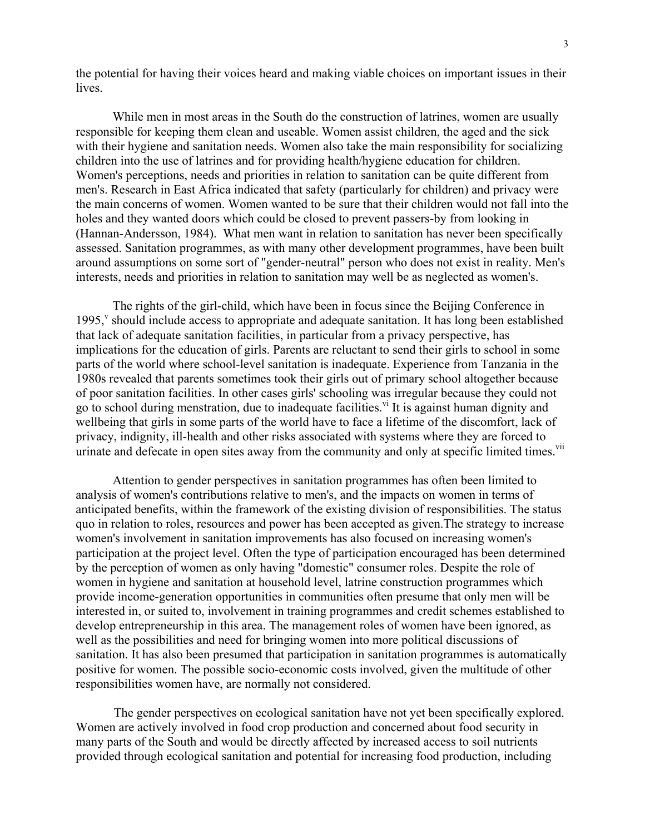the potential for having their voices heard and making viable choices on important issues in their lives.

While men in most areas in the South do the construction of latrines, women are usually responsible for keeping them clean and useable. Women assist children, the aged and the sick with their hygiene and sanitation needs. Women also take the main responsibility for socializing children into the use of latrines and for providing health/hygiene education for children. Women's perceptions, needs and priorities in relation to sanitation can be quite different from men's. Research in East Africa indicated that safety (particularly for children) and privacy were the main concerns of women. Women wanted to be sure that their children would not fall into the holes and they wanted doors which could be closed to prevent passers-by from looking in (Hannan-Andersson, 1984). What men want in relation to sanitation has never been specifically assessed. Sanitation programmes, as with many other development programmes, have been built around assumptions on some sort of "gender-neutral" person who does not exist in reality. Men's interests, needs and priorities in relation to sanitation may well be as neglected as women's.

The rights of the girl-child, which have been in focus since the Beijing Conference in 1995,<sup>[v](#page-6-4)</sup> should include access to appropriate and adequate sanitation. It has long been established that lack of adequate sanitation facilities, in particular from a privacy perspective, has implications for the education of girls. Parents are reluctant to send their girls to school in some parts of the world where school-level sanitation is inadequate. Experience from Tanzania in the 1980s revealed that parents sometimes took their girls out of primary school altogether because of poor sanitation facilities. In other cases girls' schooling was irregular because they could not go to school during menstration, due to inadequate facilities.<sup>[vi](#page-6-5)</sup> It is against human dignity and wellbeing that girls in some parts of the world have to face a lifetime of the discomfort, lack of privacy, indignity, ill-health and other risks associated with systems where they are forced to urinate and defecate in open sites away from the community and only at specific limited times.<sup>vii</sup>

Attention to gender perspectives in sanitation programmes has often been limited to analysis of women's contributions relative to men's, and the impacts on women in terms of anticipated benefits, within the framework of the existing division of responsibilities. The status quo in relation to roles, resources and power has been accepted as given.The strategy to increase women's involvement in sanitation improvements has also focused on increasing women's participation at the project level. Often the type of participation encouraged has been determined by the perception of women as only having "domestic" consumer roles. Despite the role of women in hygiene and sanitation at household level, latrine construction programmes which provide income-generation opportunities in communities often presume that only men will be interested in, or suited to, involvement in training programmes and credit schemes established to develop entrepreneurship in this area. The management roles of women have been ignored, as well as the possibilities and need for bringing women into more political discussions of sanitation. It has also been presumed that participation in sanitation programmes is automatically positive for women. The possible socio-economic costs involved, given the multitude of other responsibilities women have, are normally not considered.

The gender perspectives on ecological sanitation have not yet been specifically explored. Women are actively involved in food crop production and concerned about food security in many parts of the South and would be directly affected by increased access to soil nutrients provided through ecological sanitation and potential for increasing food production, including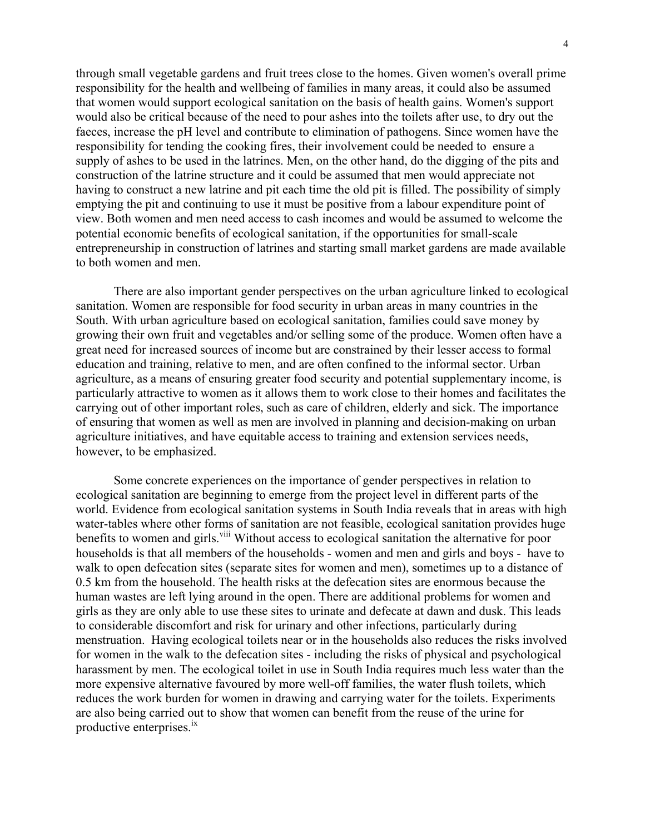through small vegetable gardens and fruit trees close to the homes. Given women's overall prime responsibility for the health and wellbeing of families in many areas, it could also be assumed that women would support ecological sanitation on the basis of health gains. Women's support would also be critical because of the need to pour ashes into the toilets after use, to dry out the faeces, increase the pH level and contribute to elimination of pathogens. Since women have the responsibility for tending the cooking fires, their involvement could be needed to ensure a supply of ashes to be used in the latrines. Men, on the other hand, do the digging of the pits and construction of the latrine structure and it could be assumed that men would appreciate not having to construct a new latrine and pit each time the old pit is filled. The possibility of simply emptying the pit and continuing to use it must be positive from a labour expenditure point of view. Both women and men need access to cash incomes and would be assumed to welcome the potential economic benefits of ecological sanitation, if the opportunities for small-scale entrepreneurship in construction of latrines and starting small market gardens are made available to both women and men.

There are also important gender perspectives on the urban agriculture linked to ecological sanitation. Women are responsible for food security in urban areas in many countries in the South. With urban agriculture based on ecological sanitation, families could save money by growing their own fruit and vegetables and/or selling some of the produce. Women often have a great need for increased sources of income but are constrained by their lesser access to formal education and training, relative to men, and are often confined to the informal sector. Urban agriculture, as a means of ensuring greater food security and potential supplementary income, is particularly attractive to women as it allows them to work close to their homes and facilitates the carrying out of other important roles, such as care of children, elderly and sick. The importance of ensuring that women as well as men are involved in planning and decision-making on urban agriculture initiatives, and have equitable access to training and extension services needs, however, to be emphasized.

Some concrete experiences on the importance of gender perspectives in relation to ecological sanitation are beginning to emerge from the project level in different parts of the world. Evidence from ecological sanitation systems in South India reveals that in areas with high water-tables where other forms of sanitation are not feasible, ecological sanitation provides huge benefits to women and girls.<sup>viii</sup> Without access to ecological sanitation the alternative for poor households is that all members of the households - women and men and girls and boys - have to walk to open defecation sites (separate sites for women and men), sometimes up to a distance of 0.5 km from the household. The health risks at the defecation sites are enormous because the human wastes are left lying around in the open. There are additional problems for women and girls as they are only able to use these sites to urinate and defecate at dawn and dusk. This leads to considerable discomfort and risk for urinary and other infections, particularly during menstruation. Having ecological toilets near or in the households also reduces the risks involved for women in the walk to the defecation sites - including the risks of physical and psychological harassment by men. The ecological toilet in use in South India requires much less water than the more expensive alternative favoured by more well-off families, the water flush toilets, which reduces the work burden for women in drawing and carrying water for the toilets. Experiments are also being carried out to show that women can benefit from the reuse of the urine for productive enterprises.<sup>[ix](#page-6-8)</sup>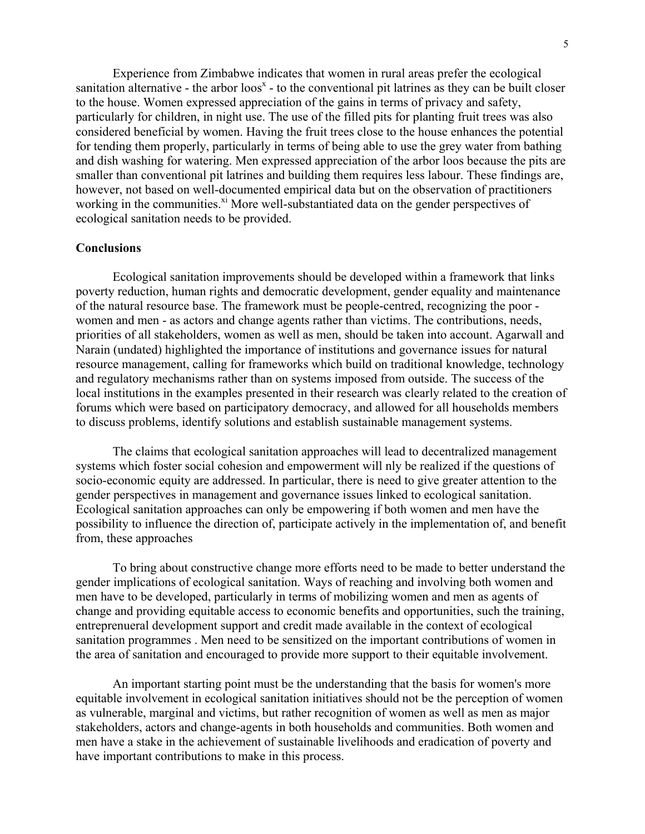Experience from Zimbabwe indicates that women in rural areas prefer the ecological sanitation alternative - the arbor  $\cos^x$  $\cos^x$  - to the conventional pit latrines as they can be built closer to the house. Women expressed appreciation of the gains in terms of privacy and safety, particularly for children, in night use. The use of the filled pits for planting fruit trees was also considered beneficial by women. Having the fruit trees close to the house enhances the potential for tending them properly, particularly in terms of being able to use the grey water from bathing and dish washing for watering. Men expressed appreciation of the arbor loos because the pits are smaller than conventional pit latrines and building them requires less labour. These findings are, however, not based on well-documented empirical data but on the observation of practitioners working in the communities.<sup>xi</sup> More well-substantiated data on the gender perspectives of ecological sanitation needs to be provided.

## **Conclusions**

Ecological sanitation improvements should be developed within a framework that links poverty reduction, human rights and democratic development, gender equality and maintenance of the natural resource base. The framework must be people-centred, recognizing the poor women and men - as actors and change agents rather than victims. The contributions, needs, priorities of all stakeholders, women as well as men, should be taken into account. Agarwall and Narain (undated) highlighted the importance of institutions and governance issues for natural resource management, calling for frameworks which build on traditional knowledge, technology and regulatory mechanisms rather than on systems imposed from outside. The success of the local institutions in the examples presented in their research was clearly related to the creation of forums which were based on participatory democracy, and allowed for all households members to discuss problems, identify solutions and establish sustainable management systems.

The claims that ecological sanitation approaches will lead to decentralized management systems which foster social cohesion and empowerment will nly be realized if the questions of socio-economic equity are addressed. In particular, there is need to give greater attention to the gender perspectives in management and governance issues linked to ecological sanitation. Ecological sanitation approaches can only be empowering if both women and men have the possibility to influence the direction of, participate actively in the implementation of, and benefit from, these approaches

To bring about constructive change more efforts need to be made to better understand the gender implications of ecological sanitation. Ways of reaching and involving both women and men have to be developed, particularly in terms of mobilizing women and men as agents of change and providing equitable access to economic benefits and opportunities, such the training, entreprenueral development support and credit made available in the context of ecological sanitation programmes . Men need to be sensitized on the important contributions of women in the area of sanitation and encouraged to provide more support to their equitable involvement.

An important starting point must be the understanding that the basis for women's more equitable involvement in ecological sanitation initiatives should not be the perception of women as vulnerable, marginal and victims, but rather recognition of women as well as men as major stakeholders, actors and change-agents in both households and communities. Both women and men have a stake in the achievement of sustainable livelihoods and eradication of poverty and have important contributions to make in this process.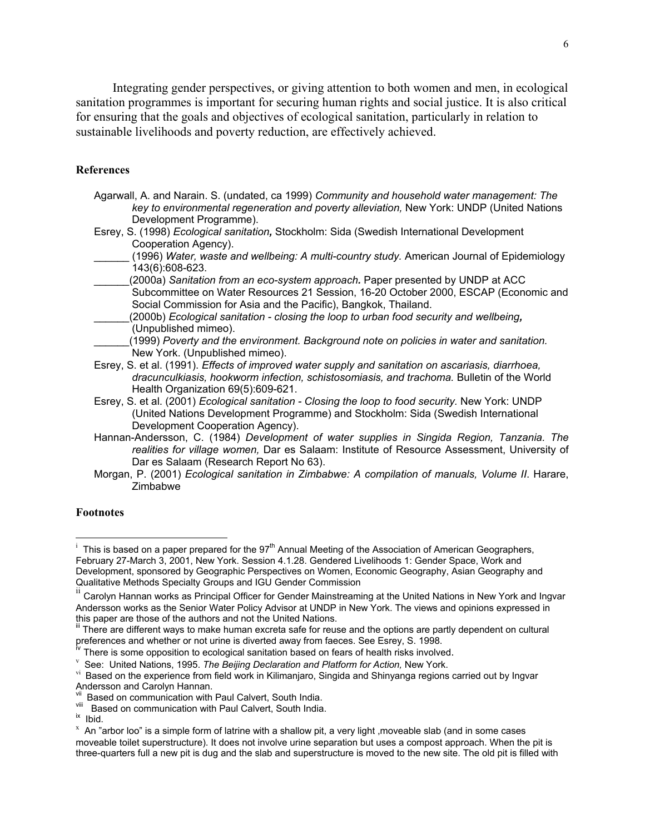Integrating gender perspectives, or giving attention to both women and men, in ecological sanitation programmes is important for securing human rights and social justice. It is also critical for ensuring that the goals and objectives of ecological sanitation, particularly in relation to sustainable livelihoods and poverty reduction, are effectively achieved.

### **References**

- Agarwall, A. and Narain. S. (undated, ca 1999) *Community and household water management: The key to environmental regeneration and poverty alleviation,* New York: UNDP (United Nations Development Programme).
- Esrey, S. (1998) *Ecological sanitation,* Stockholm: Sida (Swedish International Development Cooperation Agency).
- \_\_\_\_\_\_ (1996) *Water, waste and wellbeing: A multi-country study.* American Journal of Epidemiology 143(6):608-623.
- \_\_\_\_\_\_(2000a) *Sanitation from an eco-system approach.* Paper presented by UNDP at ACC Subcommittee on Water Resources 21 Session, 16-20 October 2000, ESCAP (Economic and Social Commission for Asia and the Pacific), Bangkok, Thailand.
- \_\_\_\_\_\_(2000b) *Ecological sanitation closing the loop to urban food security and wellbeing,*  (Unpublished mimeo).
- \_\_\_\_\_\_(1999) *Poverty and the environment. Background note on policies in water and sanitation.*  New York. (Unpublished mimeo).
- Esrey, S. et al. (1991). *Effects of improved water supply and sanitation on ascariasis, diarrhoea, dracunculkiasis, hookworm infection, schistosomiasis, and trachoma.* Bulletin of the World Health Organization 69(5):609-621.
- Esrey, S. et al. (2001) *Ecological sanitation Closing the loop to food security.* New York: UNDP (United Nations Development Programme) and Stockholm: Sida (Swedish International Development Cooperation Agency).
- Hannan-Andersson, C. (1984) *Development of water supplies in Singida Region, Tanzania. The realities for village women,* Dar es Salaam: Institute of Resource Assessment, University of Dar es Salaam (Research Report No 63).
- Morgan, P. (2001) *Ecological sanitation in Zimbabwe: A compilation of manuals, Volume II*. Harare, Zimbabwe

### **Footnotes**

 $\overline{\phantom{a}}$ 

<sup>&</sup>lt;sup>i</sup> This is based on a paper prepared for the 97<sup>th</sup> Annual Meeting of the Association of American Geographers, February 27-March 3, 2001, New York. Session 4.1.28. Gendered Livelihoods 1: Gender Space, Work and Development, sponsored by Geographic Perspectives on Women, Economic Geography, Asian Geography and Qualitative Methods Specialty Groups and IGU Gender Commission

ii Carolyn Hannan works as Principal Officer for Gender Mainstreaming at the United Nations in New York and Ingvar Andersson works as the Senior Water Policy Advisor at UNDP in New York. The views and opinions expressed in this paper are those of the authors and not the United Nations.

There are different ways to make human excreta safe for reuse and the options are partly dependent on cultural preferences and whether or not urine is diverted away from faeces. See Esrey, S. 1998.<br>
<sup>Iv</sup> There is some opposition to ecological sanitation based on fears of health risks involved.<br>
<sup>V</sup> See: United Nations, 1995. The Be

<sup>&</sup>lt;sup>vi</sup> Based on the experience from field work in Kilimanjaro, Singida and Shinyanga regions carried out by Ingvar Andersson and Carolyn Hannan.

Based on communication with Paul Calvert, South India.

viii Based on communication with Paul Calvert, South India.<br>i<sup>x</sup> Ibid.

 $^x$  An "arbor loo" is a simple form of latrine with a shallow pit, a very light ,moveable slab (and in some cases moveable toilet superstructure). It does not involve urine separation but uses a compost approach. When the pit is three-quarters full a new pit is dug and the slab and superstructure is moved to the new site. The old pit is filled with